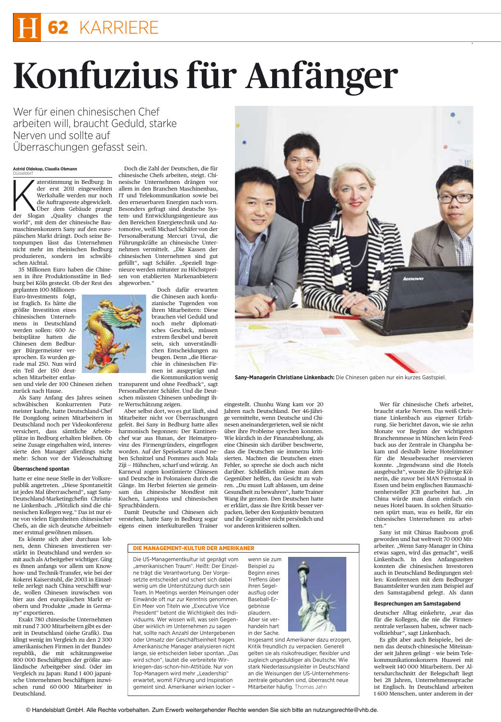## 62 KARRIERE

# Konfuzius für Anfänger

Wer für einen chinesischen Chef arbeiten will, braucht Geduld, starke Nerven und sollte auf Uberraschungen gefasst sein.

### Astrid Oldekop, Claudia Obmann

aterstimmung in Bedburg: In der erst 2011 eingeweihten Werkshalle werden nur noch die Auftragsreste abgewickelt. Über dem Gebäude prangt der Slogan "Quality changes the world", mit dem der chinesische Baumaschinenkonzern Sany auf den europäischen Markt drängt. Doch seine Betonpumpen lässt das Unternehmen nicht mehr im rheinischen Bedburg produzieren, sondern im schwäbischen Aichtal.

35 Millionen Euro haben die Chinesen in ihre Produktionsstätte in Bedburg bei Köln gesteckt. Ob der Rest des geplanten 100-Millionen-

Euro-Investments folgt, ist fraglich. Es hätte die größte Investition eines chinesischen Unternehmens in Deutschland werden sollen: 600 Arbeitsplätze hatten die Chinesen dem Bedburger Bürgermeister versprochen. Es wurden gerade mal 250. Nun wird ein Teil der 150 deutschen Mitarbeiter entlas-

zurück nach Hause.

Als Sany Anfang des Jahres seinen schwäbischen Konkurrenten Putzmeister kaufte, hatte Deutschland-Chef He Dongdong seinen Mitarbeitern in Deutschland noch per Videokonferenz versichert, dass sämtliche Arbeitsplätze in Bedburg erhalten bleiben. Ob seine Zusage eingehalten wird, interessierte den Manager allerdings nicht mehr: Schon vor der Videoschaltung

### Überraschend spontan

hatte er eine neue Stelle in der Volksrepublik angetreten. "Diese Spontaneität ist jedes Mal überraschend", sagt Sany-Deutschland-Marketingchefin Christiane Linkenbach. "Plötzlich sind die chinesischen Kollegen weg." Das ist nur eine von vielen Eigenheiten chinesischer Chefs, an die sich deutsche Arbeitnehmer erstmal gewöhnen müssen.

Es könnte sich aber durchaus lohnen, denn Chinesen investieren verstärkt in Deutschland und werden somit auch als Arbeitgeber wichtiger. Ging es ihnen anfangs vor allem um Knowhow- und Technik-Transfer, wie bei der Kokerei Kaiserstuhl, die 2003 in Einzelteile zerlegt nach China verschifft wur de, wollen Chinesen inzwischen von hier aus den europäischen Markt erobern und Produkte "made in Germany" exportieren.

Exakt 780 chinesische Unternehmen mit rund 7 300 Mitarbeitern gibt es derzeit in Deutschland (siehe Grafik). Das klingt wenig im Vergleich zu den 2 300 amerikanischen Firmen in der Bundesrepublik, die mit schätzungsweise 800 000 Beschäftigten der größte ausländische Arbeitgeber sind. Oder im Vergleich zu Japan: Rund 1 400 japanische Unternehmen beschäftigen inzwischen rund 60 000 Mitarbeiter in Deutschland.

Doch die Zahl der Deutschen, die für chinesische Chefs arbeiten, steigt. Chinesische Unternehmen drängen vor allem in den Branchen Maschinenbau, IT und Telekommunikation sowie bei den erneuerbaren Energien nach vorn. Besonders gefragt sind deutsche System- und Entwicklungsingenieure aus den Bereichen Energietechnik und Automotive, weiß Michael Schäfer von der Personalberatung Mercuri Urval, die Führungskräfte an chinesische Unternehmen vermittelt. "Die Kassen der chinesischen Unternehmen sind gut gefüllt", sagt Schäfer. "Speziell Ingenieure werden mitunter zu Höchstpreisen von etablierten Markenanbietern abgeworben."

Doch dafür erwarten die Chinesen auch konfuzianische Tugenden von ihren Mitarbeitern: Diese brauchen viel Geduld und noch mehr diplomatisches Geschick, müssen extrem flexibel und bereit sein, sich unverständlichen Entscheidungen zu beugen. Denn "die Hierarchie in chinesischen Firmen ist ausgeprägt und die Kommunikation wenig

sen und viele der 100 Chinesen ziehen transparent und ohne Feedback", sagt Personalberater Schäfer. Und die Deutschen müssten Chinesen unbedingt ihre Wertschätzung zeigen.

> Aber selbst dort, wo es gut läuft, sind Mitarbeiter nicht vor Überraschungen gefeit. Bei Sany in Bedburg hatte alles harmonisch begonnen: Der Kantinenchef war aus Hunan, der Heimatprovinz des Firmengründers, eingeflogen worden. Auf der Speisekarte stand neben Schnitzel und Pommes auch Mala Ziji - Hühnchen, scharf und würzig. An Karneval zogen kostümierte Chinesen und Deutsche in Polonaisen durch die Gänge. Im Herbst feierten sie gemeinsam das chinesische Mondfest mit Kuchen, Lampions und chinesischen Spruchbändern.

> Damit Deutsche und Chinesen sich verstehen, hatte Sany in Bedburg sogar eigens einen interkulturellen Trainer

### **DIE MANAGEMENT-KULTUR DER AMERIKANER**

Die US-Managementkultur ist geprägt vom "amerikanischen Traum". Heißt: Der Einzelne trägt die Verantwortung. Der Vorgesetzte entscheidet und schert sich dabei wenig um die Unterstützung durch sein Team. In Meetings werden Meinungen oder Einwände oft nur zur Kenntnis genommen. Ein Meer von Titeln wie "Executive Vice President" betont die Wichtigkeit des Individuums. Wer wissen will, was sein Gegenüber wirklich im Unternehmen zu sagen hat, sollte nach Anzahl der Untergebenen oder Umsatz der Geschäftseinheit fragen. Amerikanische Manager analysieren nicht lange, sie entscheiden lieber spontan. "Das wird schon", lautet die verbreitete Wirkriegen-das-schon-hin-Attitüde. Nur von Top-Managern wird mehr "Leadership" erwartet, womit Führung und Inspiration gemeint sind. Amerikaner wirken locker -



eingestellt. Chunhu Wang kam vor 20

Jahren nach Deutschland. Der 46-Jähri-

ge vermittelte, wenn Deutsche und Chi-

nesen aneinandergerieten, weil sie nicht

über ihre Probleme sprechen konnten.

Wie kürzlich in der Finanzabteilung, als

eine Chinesin sich darüber beschwerte,

dass die Deutschen sie immerzu kriti-

sierten. Machten die Deutschen einen

Fehler, so spreche sie doch auch nicht

darüber. Schließlich müsse man dem

Gegenüber helfen, das Gesicht zu wah-

ren. "Du musst Luft ablassen, um deine

Gesundheit zu bewahren", hatte Trainer

Wang ihr geraten. Den Deutschen hatte

er erklärt, dass sie ihre Kritik besser ver-

packen, lieber den Konjunktiv benutzen

und ihr Gegenüber nicht persönlich und

vor anderen kritisieren sollten.

wenn sie zum

Insgesamt sind Amerikaner dazu erzogen, Kritik freundlich zu verpacken. Generell gelten sie als risikofreudiger, flexibler und zugleich ungeduldiger als Deutsche. Wie stark Niederlassungsleiter in Deutschland an die Weisungen der US-Unternehmenszentrale gebunden sind, überrascht neue Mitarbeiter häufig. Thomas Jahn



Sany-Managerin Christiane Linkenbach: Die Chinesen gaben nur ein kurzes Gastspiel.

Wer für chinesische Chefs arbeitet, braucht starke Nerven. Das weiß Christiane Linkenbach aus eigener Erfahrung. Sie berichtet davon, wie sie zehn Monate vor Beginn der wichtigsten Branchenmesse in München kein Feedback aus der Zentrale in Changsha bekam und deshalb keine Hotelzimmer für die Messebesucher reservieren konnte. "Irgendwann sind die Hotels ausgebucht", wusste die 50-jährige Kölnerin, die zuvor bei MAN Ferrostaal in Essen und beim englischen Baumaschinenhersteller JCB gearbeitet hat. "In China würde man dann einfach ein neues Hotel bauen. In solchen Situationen spürt man, was es heißt, für ein chinesisches Unternehmen zu arbeiten."

Sany ist mit Chinas Bauboom groß geworden und hat weltweit 70 000 Mitarbeiter. "Wenn Sany-Manager in China etwas sagen, wird das gemacht", weiß Linkenbach. In den Anfangszeiten konnten die chinesischen Investoren auch in Deutschland Bedingungen stellen: Konferenzen mit dem Bedburger Bauamtsielter wurden zum Beispiel auf den Samstagabend gelegt. Als dann

### Besprechungen am Samstagabend

deutscher Alltag einkehrte, "war das für die Kollegen, die nie die Firmenzentrale verlassen haben, schwer nachvollziehbar", sagt Linkenbach.

Es gibt aber auch Beispiele, bei denen das deutsch-chinesische Miteinander seit Jahren gelingt - wie beim Telekommunikationskonzern Huawei mit weltweit 140 000 Mitarbeitern. Der Altersdurchschnitt der Belegschaft liegt bei 28 Jahren, Unternehmenssprache ist Englisch. In Deutschland arbeiten 1 600 Menschen, unter anderem in der